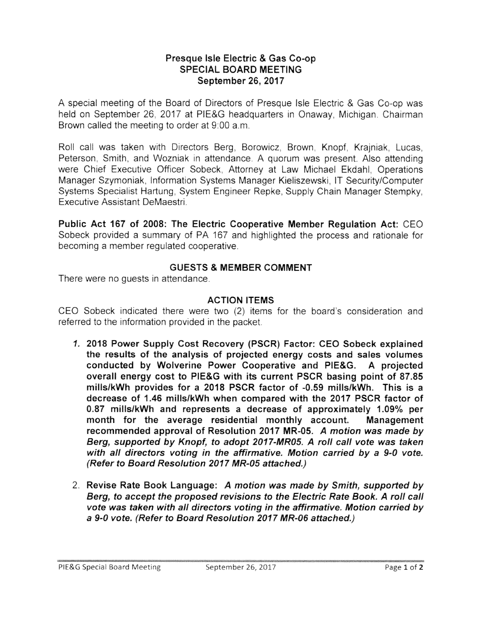## Presque Isle Electric & Gas Co-0p SPECIAL BOARD MEETING September 26, 2017

A special meeting of the Board of Directors of Presque Isle Electric & Gas Co-op was held on September 26. 2017 at PIE&G headquarters in Onaway, Michigan. Chairman Brown called the meeting to order at 9:00 a.m.

Roll call was taken with Directors Berg, Borowicz, Brown. Knopf, Krajniak, Lucas, Peterson, Smith. and Wozniak in attendance. A quorum was present. Also attending were Chief Executive Officer Sobeck, Attorney at Law Michael Ekdahl. Operations Manager Szymoniak, Information Systems Manager Kieliszewski, IT Security/Computer Systems Specialist Hartung, System Engineer Repke. Supply Chain Manager Stempky, Executive Assistant DeMaestri.

Public Act 167 of 2008: The Electric Cooperative Member Regulation Act: CEO Sobeck provided a summary of PA 167 and highlighted the process and rationale for becoming a member regulated cooperative.

## GUESTS & **MEMBER COMMENT**

There were no quests in attendance.

## **ACTION ITEMS**

CEO Sobeck indicated there were two (2) items for the board's consideration and referred to the information provided in the packet.

- 1. 2018 Power Supply Cost Recovery (PSCR) Factor: CEO Sobeck explained the results of the analysis of projected energy costs and sales volumes conducted by Wolverine Power Cooperative and PIE&G. A projected overall energy cost to PIE&G with its current PSCR basing point of 87.85 mills/kWh provides for a 2018 PSCR factor of -0.59 mills/kWh. This is a decrease of 1.46 mills/kWh when compared with the 2017 PSCR factor of 0.87 mills/kWh and represents a decrease of approximately 1.09% per month for the average residential monthly account. Management recommended approval of Resolution 2017 MR-05. A motion was made by Berg, supported by Knopf, to adopt 2017-MR05. A roll call vote was taken with all directors voting in the affirmative. Motion carried by a 9-0 vote. (Refer to Board Resolution 2011 MR-05 attached.)
- 2. Revise Rate Book Language: A motion was made by Smith, supported by Berg, to accept the proposed revisions to the Electric Rate Book. A roll call vote was taken with all directors voting in the affirmative. Motion carried by a 9-0 vote. (Refer to Board Resolution 2017 MR-06 attached.)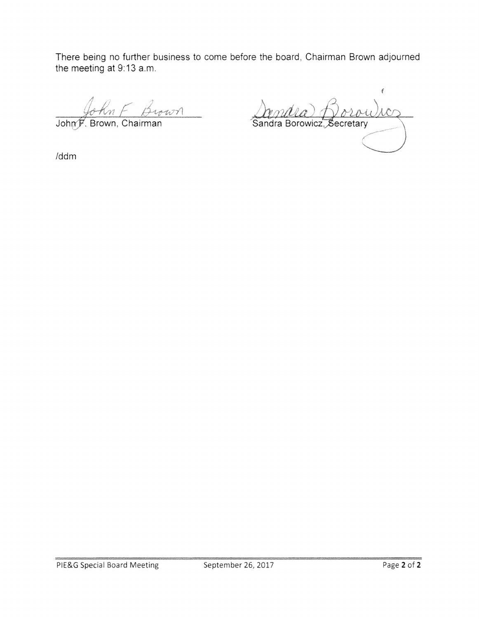**There being no further business to** come **before the board, Chairman** Brown **adjourned the meeting at 9:** 13 a.m.

John F Brown

**/ddm** 

*(*  2007 Decector of the condition of the condition of the condition of the condition of the condition of the condition of the condition of the condition of the condition of the condition of the condition of the condition of t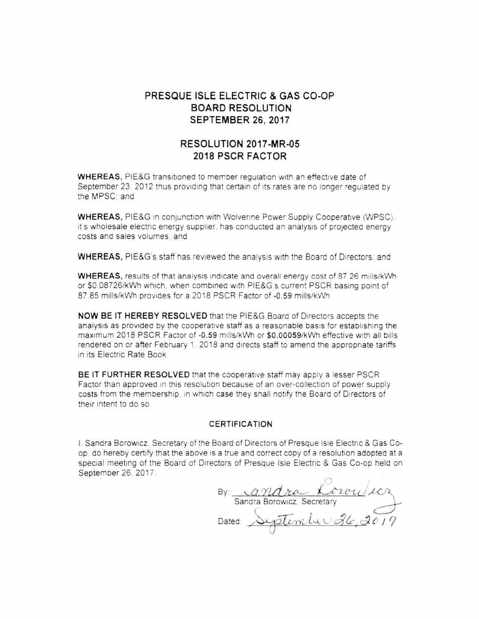# PRESQUE ISLE ELECTRIC & GAS CO-OP **BOARD RESOLUTION SEPTEMBER 26, 2017**

# RESOLUTION 2017-MR-05 2018 PSCR FACTOR

**WHEREAS, PIE&G** transitioned to member requlation with an effective date of September 23, 2012 thus providing that certain of its rates are no longer regulated by the MPSC: and

**WHEREAS, PIE&G** in conjunction with Wolverine Power Supply Cooperative (WPSC). it's wholesale electric energy supplier, has conducted an analysis of projected energy costs and sales volumes; and

**WHEREAS, PIE&G's staff has reviewed the analysis with the Board of Directors; and** 

WHEREAS, results of that analysis indicate and overall energy cost of 87.26 mills/kWh or \$0.08726/kWh which, when combined with PIE&G's current PSCR basing point of 87.85 mills/kWh provides for a 2018 PSCR Factor of -0.59 mills/kWh.

NOW BE IT HEREBY RESOLVED that the PIE&G Board of Directors accepts the analysis as provided by the cooperative staff as a reasonable basis for establishing the maximum 2018 PSCR Factor of -0.59 mills/kWh or \$0.00059/kWh effective with all bills rendered on or after February 1, 2018 and directs staff to amend the appropriate tariffs in its Electric Rate Book.

BE IT FURTHER RESOLVED that the cooperative staff may apply a lesser PSCR Factor than approved in this resolution because of an over-collection of power supply costs from the membership, in which case they shall notify the Board of Directors of their intent to do so.

#### **CERTIFICATION**

I, Sandra Borowicz, Secretary of the Board of Directors of Presque Isle Electric & Gas Coop, do hereby certify that the above is a true and correct copy of a resolution adopted at a special meeting of the Board of Directors of Presque Isle Electric & Gas Co-op held on September 26, 2017.

By: Candra Corouler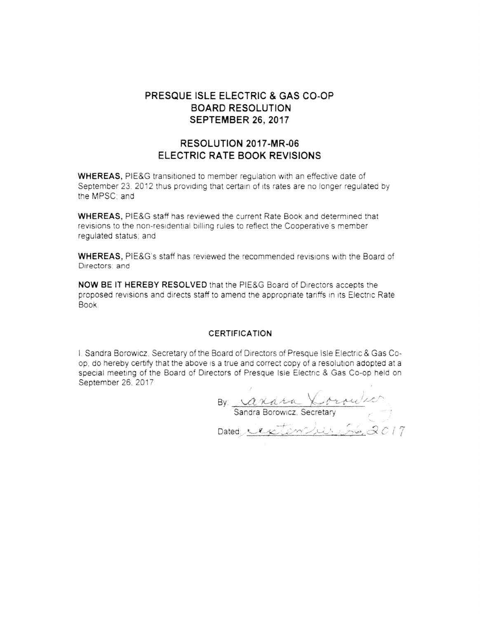# PRESQUE ISLE ELECTRIC & GAS CO-OP **BOARD RESOLUTION SEPTEMBER 26, 2017**

# RESOLUTION 2017-MR-06 ELECTRIC RATE BOOK REVISIONS

**WHEREAS, PIE&G transitioned to member regulation with an effective date of** September 23, 2012 thus providing that certain of its rates are no longer regulated by the MPSC: and

**WHEREAS.** PIE&G staff has reviewed the current Rate Book and determined that revisions to the non-residential billing rules to reflect the Cooperative's member requiated status; and

**WHEREAS.** PIE&G's staff has reviewed the recommended revisions with the Board of Directors: and

NOW BE IT HEREBY RESOLVED that the PIE&G Board of Directors accepts the proposed revisions and directs staff to amend the appropriate tariffs in its Electric Rate **Book** 

### **CERTIFICATION**

I. Sandra Borowicz, Secretary of the Board of Directors of Presque Isle Electric & Gas Coop, do hereby certify that the above is a true and correct copy of a resolution adopted at a special meeting of the Board of Directors of Presque Isle Electric & Gas Co-op held on September 26, 2017.

By Canara Cornelis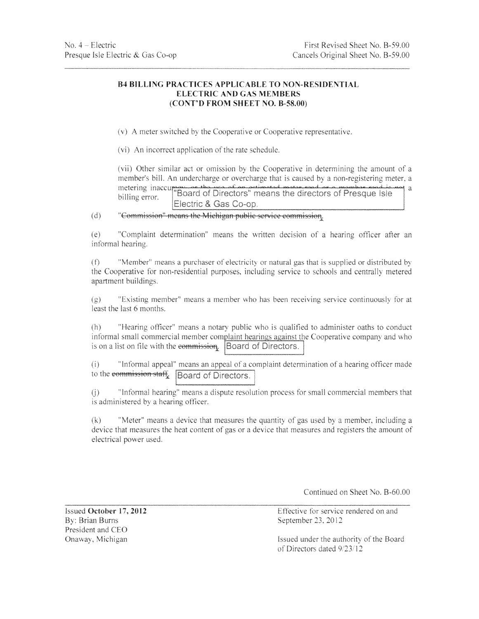#### **B4 BILLING PRACTICES APPLICABLE TO NON-RESIDENTIAL ELECTRIC AND GAS MEMBERS** (CONT'D FROM SHEET NO. B-58.00)

(v) A meter switched by the Cooperative or Cooperative representative.

(vi) An incorrect application of the rate schedule.

(vii) Other similar act or omission by the Cooperative in determining the amount of a member's bill. An undercharge or overcharge that is caused by a non-registering meter, a metering inaccuration of the use of an estimated material of a mamber read is not a<br>hilling error "Board of Directors" means the directors of Presque Isle billing error. Electric & Gas Co-op.

"Commission" means the Michigan public service commission.  $(d)$ 

"Complaint determination" means the written decision of a hearing officer after an  $(e)$ informal hearing.

"Member" means a purchaser of electricity or natural gas that is supplied or distributed by  $(f)$ the Cooperative for non-residential purposes, including service to schools and centrally metered apartment buildings.

"Existing member" means a member who has been receiving service continuously for at  $(\mathfrak{g})$ least the last 6 months.

"Hearing officer" means a notary public who is qualified to administer oaths to conduct  $(h)$ informal small commercial member complaint hearings against the Cooperative company and who is on a list on file with the eommission. Board of Directors.

"Informal appeal" means an appeal of a complaint determination of a hearing officer made  $(i)$ to the commission staff. Board of Directors.

"Informal hearing" means a dispute resolution process for small commercial members that  $(i)$ is administered by a hearing officer.

 $(k)$ "Meter" means a device that measures the quantity of gas used by a member, including a device that measures the heat content of gas or a device that measures and registers the amount of electrical power used.

Continued on Sheet No. B-60.00

Issued October 17, 2012 **By: Brian Burns** President and CEO Onaway, Michigan

Effective for service rendered on and September 23, 2012

Issued under the authority of the Board of Directors dated 9/23/12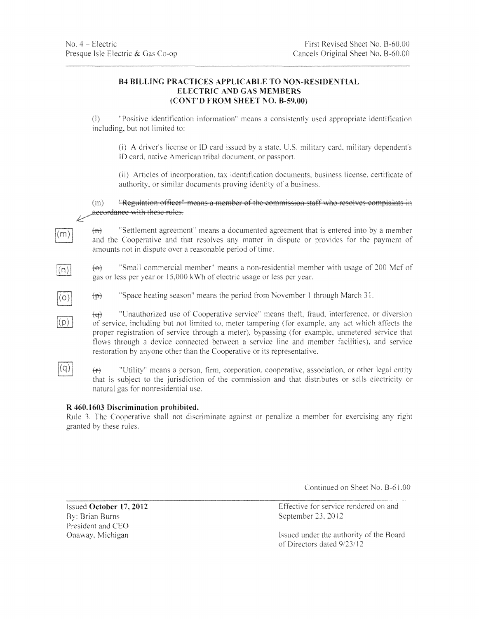$\left(\begin{matrix}m\end{matrix}\right)$ 

 $(n)$ 

 $(q)$ 

#### **B4 BILLING PRACTICES APPLICABLE TO NON-RESIDENTIAL ELECTRIC AND GAS MEMBERS (CONT'D FROM SHEET NO. B-59.00)**

\!) "Positive identification information" means a consistent!) used appropriate identification including. but not limited to:

(i) A driver's license or ID card issued by a state, U.S. military card, military dependent's ID card, native American tribal document, or passport.

(ii) Articles of incorporation, tax identification documents, business license, certificate of authority, or similar documents proving identity of a business.

"Regulation officer" means a member of the commission staff who resolves complaints in (m) **neeordance with these rules.** 

- $\left\lfloor \frac{f_{\text{H}}}{f_{\text{H}}} \right\rfloor$  "Settlement agreement" means a documented agreement that is entered into by a member and the Cooperative and that resolves any matter in dispute or provides for the payment of amounts not in dispute over a reasonable period of time.
- $\left\langle \Theta \right\rangle$  "Small commercial member" means a non-residential member with usage of 200 Mcf of gas or less per year or 15,000 kWh of electric usage or less per year.
- $\overline{(0)}$   $\qquad$  "Space heating season" means the period from November 1 through March 31.
- ( $\rho$ ) I  $\overline{(\rho)}$  I Unauthorized use of Cooperative service" means theft, fraud, interference, or diversion of service, including but not limited to, meter tampering (for example, any act which affects the proper registration of service through a meter), bypassing (for example, unmetered service that flows through a device connected between a service line and member facilities), and service restoration by anyone other than the Cooperative or its representative.
	- **the imaginarity** means a person, firm, corporation, cooperative, association, or other legal entity that is subject to the jurisdiction of the commission and that distributes or sells ekctricity or natural gas for nonresidential use.

### **R** 460.1603 Discrimination **prohibited.**

Rule 3. The Cooperative shall not discriminate against or penalize a member for exercising any right granted by these rules.

Continued on Sheet No. 8-61.00

issued October 17, 2012 By: Brian Burns President and CEO Onaway, Michigan

Effective for service rendered on and September *23.* 2012

Issued under the authority of the Board of Directors dated  $9/23/12$